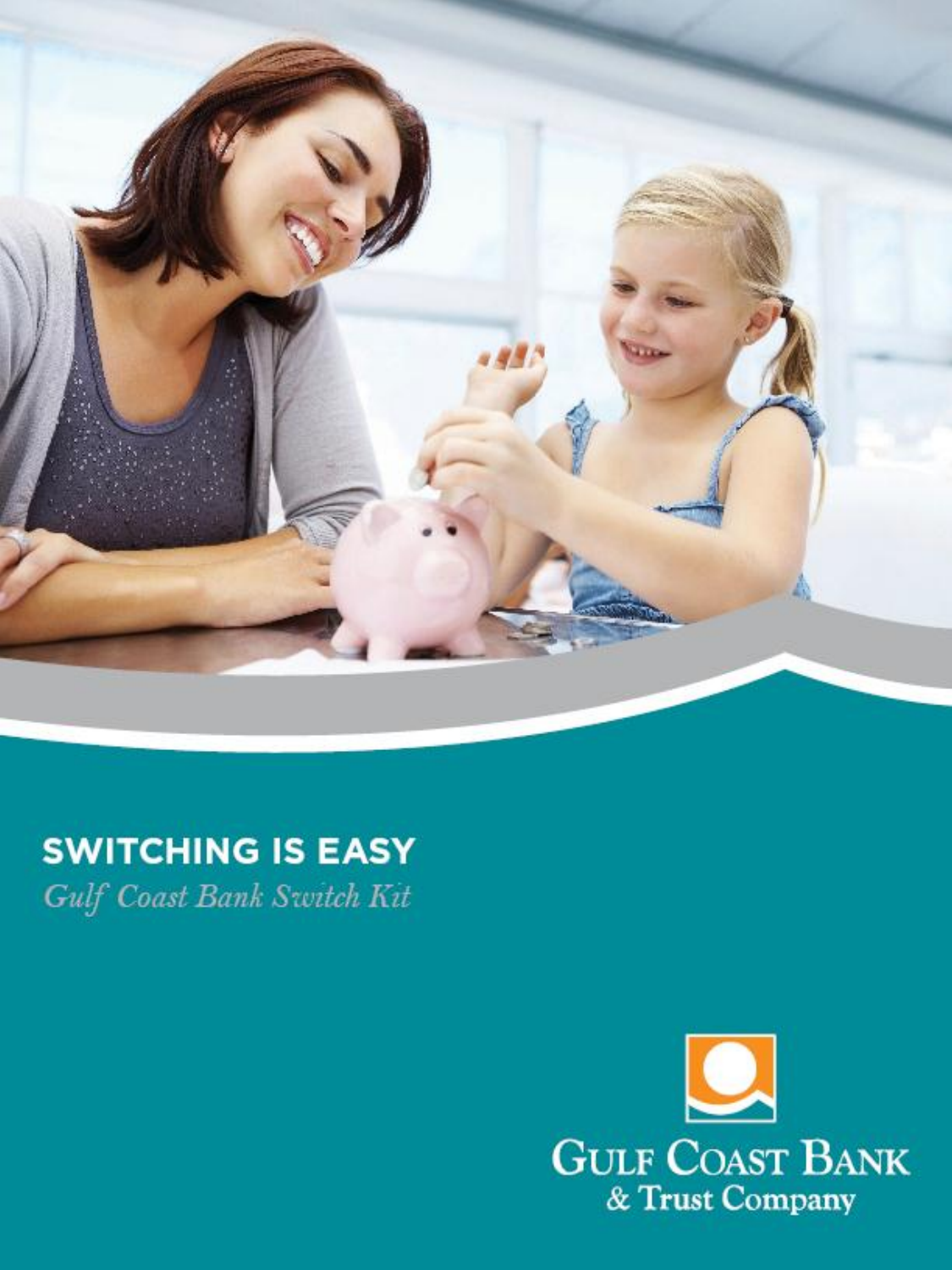

# **SWITCHING IS EASY**

Gulf Coast Bank Switch Kit

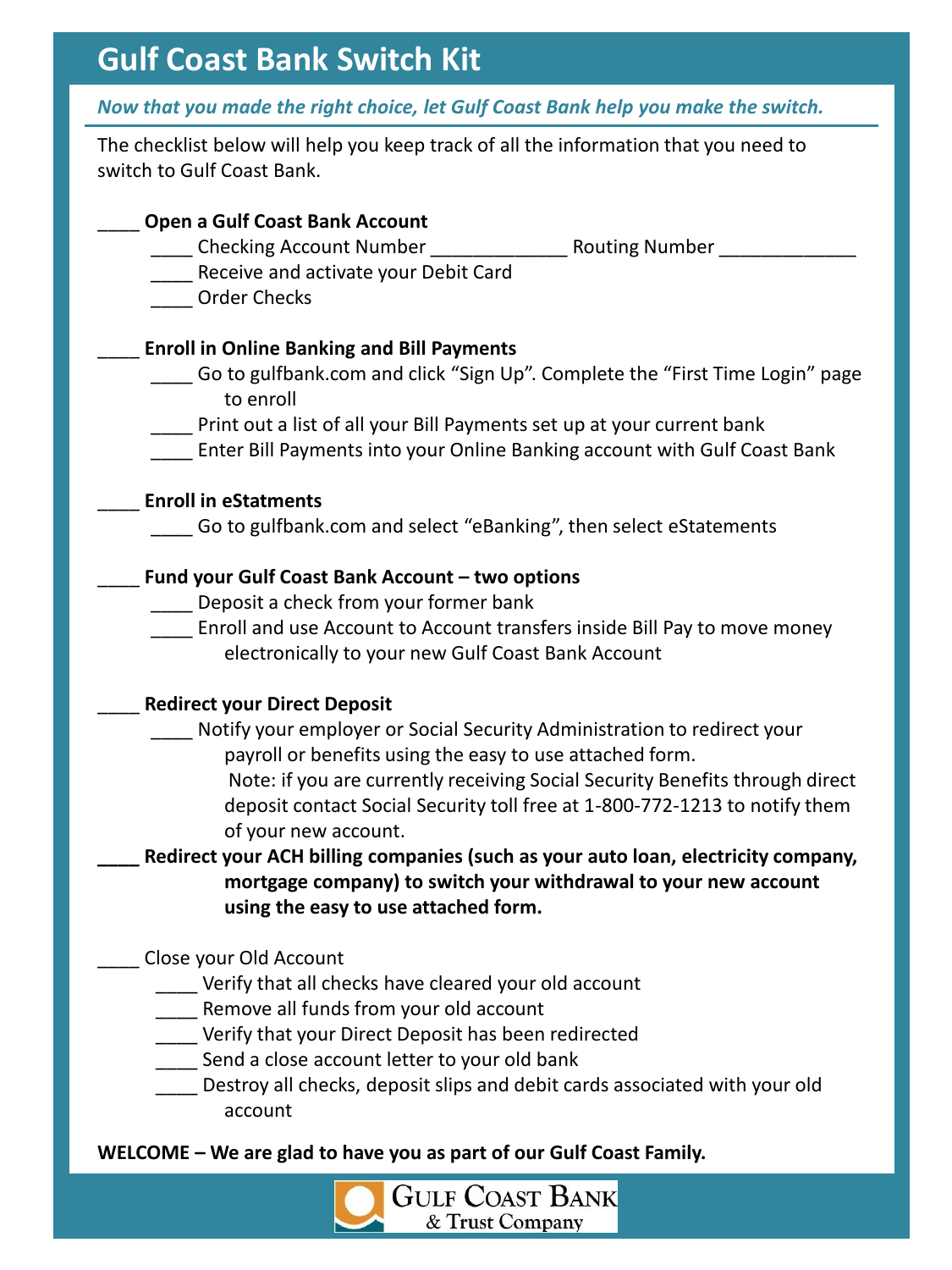# **Gulf Coast Bank Switch Kit**

#### *Now that you made the right choice, let Gulf Coast Bank help you make the switch.*

The checklist below will help you keep track of all the information that you need to switch to Gulf Coast Bank.

#### \_\_\_\_ **Open a Gulf Coast Bank Account**

- \_\_\_\_ Checking Account Number \_\_\_\_\_\_\_\_\_\_\_\_\_ Routing Number \_\_\_\_\_\_\_\_\_\_\_\_\_
- Receive and activate your Debit Card
- \_\_\_\_ Order Checks

#### \_\_\_\_ **Enroll in Online Banking and Bill Payments**

- \_\_\_\_ Go to gulfbank.com and click "Sign Up". Complete the "First Time Login" page to enroll
- Print out a list of all your Bill Payments set up at your current bank
- \_\_\_\_ Enter Bill Payments into your Online Banking account with Gulf Coast Bank

#### \_\_\_\_ **Enroll in eStatments**

Go to gulfbank.com and select "eBanking", then select eStatements

#### \_\_\_\_ **Fund your Gulf Coast Bank Account – two options**

- **\_\_\_\_** Deposit a check from your former bank
- \_\_\_\_ Enroll and use Account to Account transfers inside Bill Pay to move money electronically to your new Gulf Coast Bank Account

#### \_\_\_\_ **Redirect your Direct Deposit**

 \_\_\_\_ Notify your employer or Social Security Administration to redirect your payroll or benefits using the easy to use attached form.

 Note: if you are currently receiving Social Security Benefits through direct deposit contact Social Security toll free at 1-800-772-1213 to notify them of your new account.

**\_\_\_\_ Redirect your ACH billing companies (such as your auto loan, electricity company, mortgage company) to switch your withdrawal to your new account using the easy to use attached form.** 

\_\_\_\_ Close your Old Account

- \_\_\_\_ Verify that all checks have cleared your old account
- \_\_\_\_ Remove all funds from your old account
- \_\_\_\_ Verify that your Direct Deposit has been redirected
- Send a close account letter to your old bank
- Destroy all checks, deposit slips and debit cards associated with your old account

**WELCOME – We are glad to have you as part of our Gulf Coast Family.**

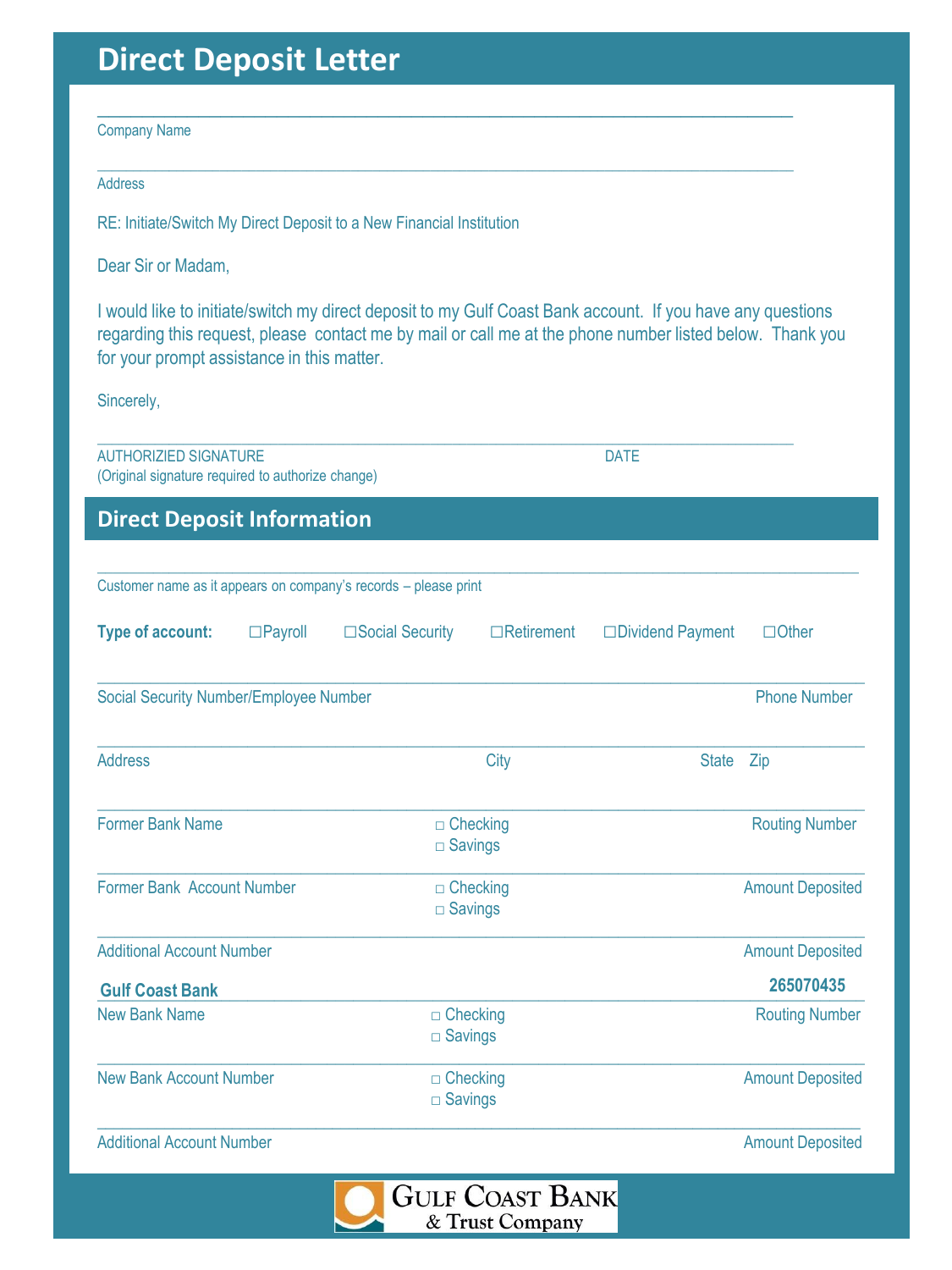## **Direct Deposit Letter**

Company Name

Address

RE: Initiate/Switch My Direct Deposit to a New Financial Institution

Dear Sir or Madam,

I would like to initiate/switch my direct deposit to my Gulf Coast Bank account. If you have any questions regarding this request, please contact me by mail or call me at the phone number listed below. Thank you for your prompt assistance in this matter.

 $\_$  , and the set of the set of the set of the set of the set of the set of the set of the set of the set of the set of the set of the set of the set of the set of the set of the set of the set of the set of the set of th

\_\_\_\_\_\_\_\_\_\_\_\_\_\_\_\_\_\_\_\_\_\_\_\_\_\_\_\_\_\_\_\_\_\_\_\_\_\_\_\_\_\_\_\_\_\_\_\_\_\_\_\_\_\_\_\_\_\_\_\_\_\_\_\_\_\_\_\_\_\_\_\_\_\_\_\_\_\_\_\_\_\_\_\_\_\_\_\_\_\_\_\_\_\_\_\_

Sincerely,

\_\_\_\_\_\_\_\_\_\_\_\_\_\_\_\_\_\_\_\_\_\_\_\_\_\_\_\_\_\_\_\_\_\_\_\_\_\_\_\_\_\_\_\_\_\_\_\_\_\_\_\_\_\_\_\_\_\_\_\_\_\_\_\_\_\_\_\_\_\_\_\_\_\_\_\_\_\_\_\_\_\_\_\_\_\_\_\_\_\_\_\_\_\_\_\_ AUTHORIZIED SIGNATURE **DATE** (Original signature required to authorize change)

**Direct Deposit Information**

| Customer name as it appears on company's records - please print |                   |                                   |                   |                         |                         |  |
|-----------------------------------------------------------------|-------------------|-----------------------------------|-------------------|-------------------------|-------------------------|--|
| <b>Type of account:</b>                                         | $\square$ Payroll | □Social Security                  | $\Box$ Retirement | $\Box$ Dividend Payment | $\Box$ Other            |  |
| Social Security Number/Employee Number                          |                   |                                   |                   |                         | <b>Phone Number</b>     |  |
| <b>Address</b>                                                  |                   | City                              |                   | <b>State</b>            | Zip                     |  |
| <b>Former Bank Name</b>                                         |                   | $\Box$ Checking<br>$\Box$ Savings |                   |                         | <b>Routing Number</b>   |  |
| Former Bank Account Number                                      |                   | $\Box$ Checking<br>$\Box$ Savings |                   |                         | <b>Amount Deposited</b> |  |
| <b>Additional Account Number</b>                                |                   |                                   |                   | <b>Amount Deposited</b> |                         |  |
| <b>Gulf Coast Bank</b>                                          |                   |                                   |                   |                         | 265070435               |  |
| New Bank Name                                                   |                   | $\Box$ Checking<br>$\Box$ Savings |                   |                         | <b>Routing Number</b>   |  |
| <b>New Bank Account Number</b>                                  |                   | $\Box$ Checking<br>$\Box$ Savings |                   | <b>Amount Deposited</b> |                         |  |
| <b>Additional Account Number</b>                                |                   |                                   |                   |                         | <b>Amount Deposited</b> |  |

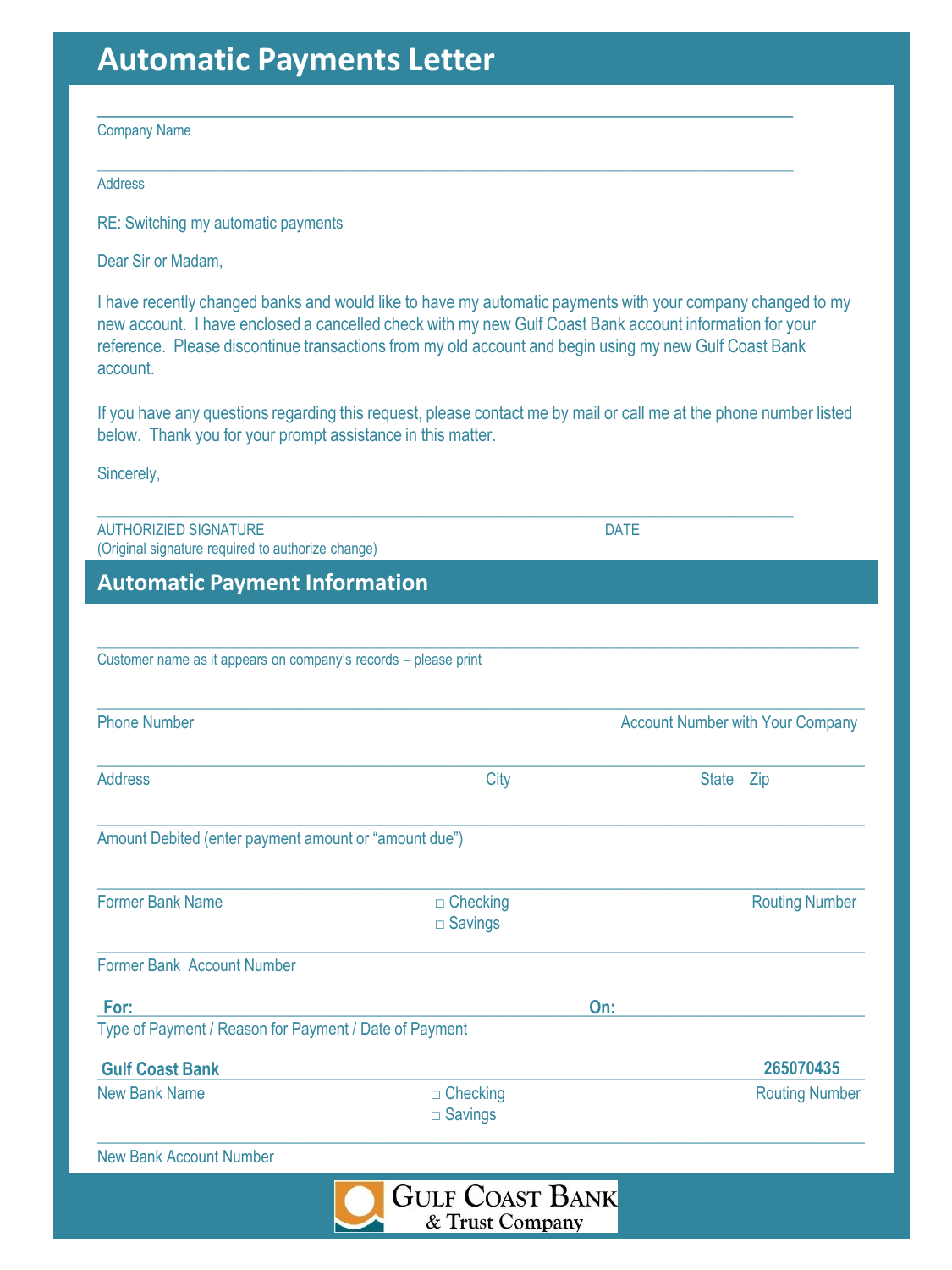### **Automatic Payments Letter**

Company Name

Address

RE: Switching my automatic payments

Dear Sir or Madam,

I have recently changed banks and would like to have my automatic payments with your company changed to my new account. I have enclosed a cancelled check with my new Gulf Coast Bank account information for your reference. Please discontinue transactions from my old account and begin using my new Gulf Coast Bank account.

 $\_$  , and the set of the set of the set of the set of the set of the set of the set of the set of the set of the set of the set of the set of the set of the set of the set of the set of the set of the set of the set of th

\_\_\_\_\_\_\_\_\_\_\_\_\_\_\_\_\_\_\_\_\_\_\_\_\_\_\_\_\_\_\_\_\_\_\_\_\_\_\_\_\_\_\_\_\_\_\_\_\_\_\_\_\_\_\_\_\_\_\_\_\_\_\_\_\_\_\_\_\_\_\_\_\_\_\_\_\_\_\_\_\_\_\_\_\_\_\_\_\_\_\_\_\_\_\_\_

If you have any questions regarding this request, please contact me by mail or call me at the phone number listed below. Thank you for your prompt assistance in this matter.

\_\_\_\_\_\_\_\_\_\_\_\_\_\_\_\_\_\_\_\_\_\_\_\_\_\_\_\_\_\_\_\_\_\_\_\_\_\_\_\_\_\_\_\_\_\_\_\_\_\_\_\_\_\_\_\_\_\_\_\_\_\_\_\_\_\_\_\_\_\_\_\_\_\_\_\_\_\_\_\_\_\_\_\_\_\_\_\_\_\_\_\_\_\_\_\_

Sincerely,

AUTHORIZIED SIGNATURE **DATE DATE** (Original signature required to authorize change)

**Automatic Payment Information**

\_\_\_\_\_\_\_\_\_\_\_\_\_\_\_\_\_\_\_\_\_\_\_\_\_\_\_\_\_\_\_\_\_\_\_\_\_\_\_\_\_\_\_\_\_\_\_\_\_\_\_\_\_\_\_\_\_\_\_\_\_\_\_\_\_\_\_\_\_\_\_\_\_\_\_\_\_\_\_\_\_\_\_\_\_\_\_\_\_\_\_\_\_\_\_\_ Customer name as it appears on company's records – please print \_\_\_\_\_\_\_\_\_\_\_\_\_\_\_\_\_\_\_\_\_\_\_\_\_\_\_\_\_\_\_\_\_\_\_\_\_\_\_\_\_\_\_\_\_\_\_\_\_\_\_\_\_\_\_\_\_\_\_\_\_\_\_\_\_\_\_\_\_\_\_\_\_\_\_\_\_\_\_\_\_\_\_\_\_\_\_ Phone Number **Account Number Account Number with Your Company** 

\_\_\_\_\_\_\_\_\_\_\_\_\_\_\_\_\_\_\_\_\_\_\_\_\_\_\_\_\_\_\_\_\_\_\_\_\_\_\_\_\_\_\_\_\_\_\_\_\_\_\_\_\_\_\_\_\_\_\_\_\_\_\_\_\_\_\_\_\_\_\_\_\_\_\_\_\_\_\_\_\_\_\_\_\_\_\_ Address and State Zip State Zip State Zip State Zip State Zip State Zip State State State State State State State State  $\sim$ \_\_\_\_\_\_\_\_\_\_\_\_\_\_\_\_\_\_\_\_\_\_\_\_\_\_\_\_\_\_\_\_\_\_\_\_\_\_\_\_\_\_\_\_\_\_\_\_\_\_\_\_\_\_\_\_\_\_\_\_\_\_\_\_\_\_\_\_\_\_\_\_\_\_\_\_\_\_\_\_\_\_\_\_\_\_\_ Amount Debited (enter payment amount or "amount due") \_\_\_\_\_\_\_\_\_\_\_\_\_\_\_\_\_\_\_\_\_\_\_\_\_\_\_\_\_\_\_\_\_\_\_\_\_\_\_\_\_\_\_\_\_\_\_\_\_\_\_\_\_\_\_\_\_\_\_\_\_\_\_\_\_\_\_\_\_\_\_\_\_\_\_\_\_\_\_\_\_\_\_\_\_\_\_ Former Bank Name □ □ Phecking □ Checking Routing Number Routing Number

□ Savings \_\_\_\_\_\_\_\_\_\_\_\_\_\_\_\_\_\_\_\_\_\_\_\_\_\_\_\_\_\_\_\_\_\_\_\_\_\_\_\_\_\_\_\_\_\_\_\_\_\_\_\_\_\_\_\_\_\_\_\_\_\_\_\_\_\_\_\_\_\_\_\_\_\_\_\_\_\_\_\_\_\_\_\_\_\_\_ Former Bank Account Number \_\_\_\_\_\_\_\_\_\_\_\_\_\_\_\_\_\_\_\_\_\_\_\_\_\_\_\_\_\_\_\_\_\_\_\_\_\_\_\_\_\_\_\_\_\_\_\_\_\_\_\_\_\_\_\_\_\_\_\_\_\_\_\_\_\_\_\_\_\_\_\_\_\_\_\_\_\_\_\_\_\_\_\_\_\_\_ Type of Payment / Reason for Payment / Date of Payment \_\_\_\_\_\_\_\_\_\_\_\_\_\_\_\_\_\_\_\_\_\_\_\_\_\_\_\_\_\_\_\_\_\_\_\_\_\_\_\_\_\_\_\_\_\_\_\_\_\_\_\_\_\_\_\_\_\_\_\_\_\_\_\_\_\_\_\_\_\_\_\_\_\_\_\_\_\_\_\_\_\_\_\_\_\_\_ **Gulf Coast Bank 265070435**New Bank Name □ □ □ □ □ Checking □ □ □ □ □ □ Routing Number □ Savings \_\_\_\_\_\_\_\_\_\_\_\_\_\_\_\_\_\_\_\_\_\_\_\_\_\_\_\_\_\_\_\_\_\_\_\_\_\_\_\_\_\_\_\_\_\_\_\_\_\_\_\_\_\_\_\_\_\_\_\_\_\_\_\_\_\_\_\_\_\_\_\_\_\_\_\_\_\_\_\_\_\_\_\_\_\_\_ New Bank Account Number **For: On:**

> **GULF COAST BANK** & Trust Company